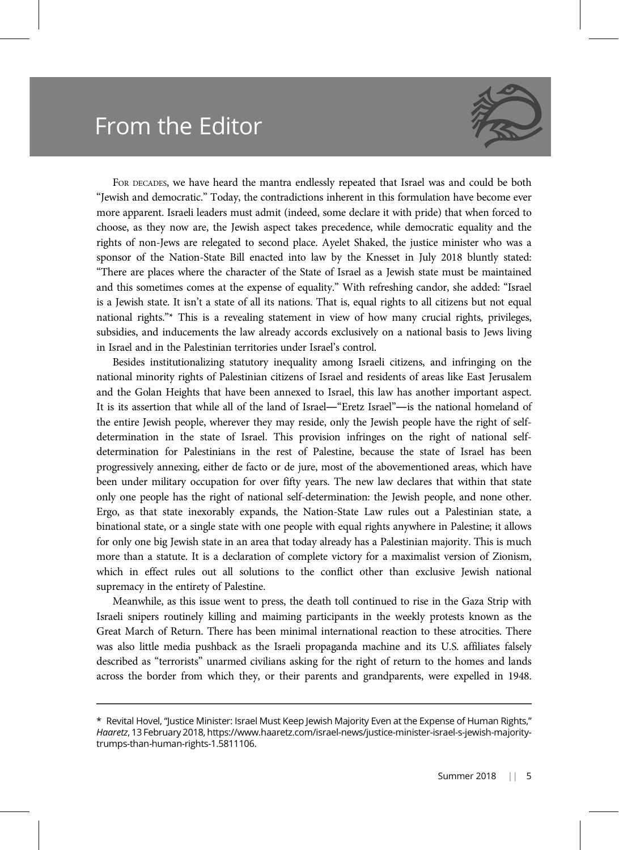## From the Editor



FOR DECADES, we have heard the mantra endlessly repeated that Israel was and could be both "Jewish and democratic." Today, the contradictions inherent in this formulation have become ever more apparent. Israeli leaders must admit (indeed, some declare it with pride) that when forced to choose, as they now are, the Jewish aspect takes precedence, while democratic equality and the rights of non-Jews are relegated to second place. Ayelet Shaked, the justice minister who was a sponsor of the Nation-State Bill enacted into law by the Knesset in July 2018 bluntly stated: "There are places where the character of the State of Israel as a Jewish state must be maintained and this sometimes comes at the expense of equality." With refreshing candor, she added: "Israel is a Jewish state. It isn't a state of all its nations. That is, equal rights to all citizens but not equal national rights."\* This is a revealing statement in view of how many crucial rights, privileges, subsidies, and inducements the law already accords exclusively on a national basis to Jews living in Israel and in the Palestinian territories under Israel's control.

Besides institutionalizing statutory inequality among Israeli citizens, and infringing on the national minority rights of Palestinian citizens of Israel and residents of areas like East Jerusalem and the Golan Heights that have been annexed to Israel, this law has another important aspect. It is its assertion that while all of the land of Israel―"Eretz Israel"―is the national homeland of the entire Jewish people, wherever they may reside, only the Jewish people have the right of selfdetermination in the state of Israel. This provision infringes on the right of national selfdetermination for Palestinians in the rest of Palestine, because the state of Israel has been progressively annexing, either de facto or de jure, most of the abovementioned areas, which have been under military occupation for over fifty years. The new law declares that within that state only one people has the right of national self-determination: the Jewish people, and none other. Ergo, as that state inexorably expands, the Nation-State Law rules out a Palestinian state, a binational state, or a single state with one people with equal rights anywhere in Palestine; it allows for only one big Jewish state in an area that today already has a Palestinian majority. This is much more than a statute. It is a declaration of complete victory for a maximalist version of Zionism, which in effect rules out all solutions to the conflict other than exclusive Jewish national supremacy in the entirety of Palestine.

Meanwhile, as this issue went to press, the death toll continued to rise in the Gaza Strip with Israeli snipers routinely killing and maiming participants in the weekly protests known as the Great March of Return. There has been minimal international reaction to these atrocities. There was also little media pushback as the Israeli propaganda machine and its U.S. affiliates falsely described as "terrorists" unarmed civilians asking for the right of return to the homes and lands across the border from which they, or their parents and grandparents, were expelled in 1948.

<sup>\*</sup> Revital Hovel, "Justice Minister: Israel Must Keep Jewish Majority Even at the Expense of Human Rights," Haaretz, 13 February 2018, https://www.haaretz.com/israel-news/justice-minister-israel-s-jewish-majoritytrumps-than-human-rights-1.5811106.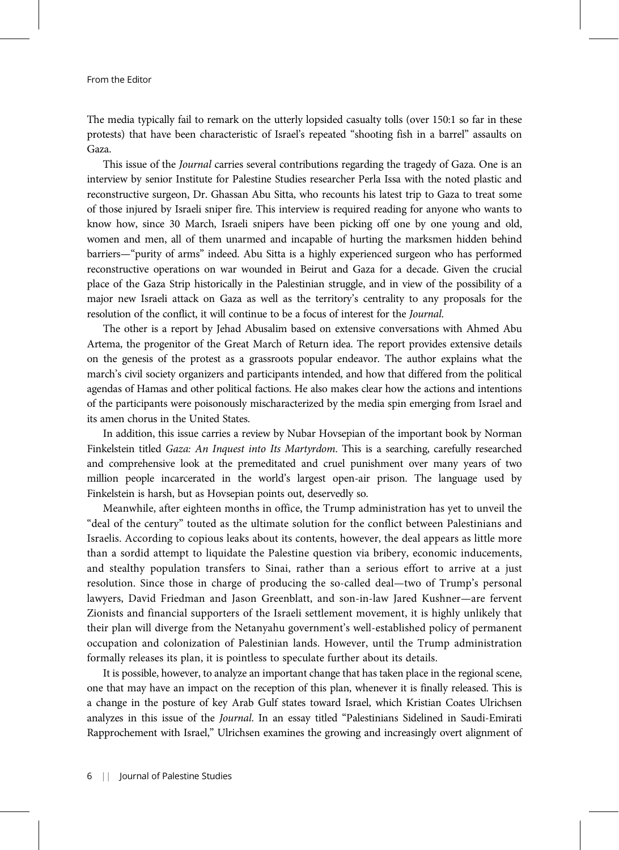From the Editor

The media typically fail to remark on the utterly lopsided casualty tolls (over 150:1 so far in these protests) that have been characteristic of Israel's repeated "shooting fish in a barrel" assaults on Gaza.

This issue of the Journal carries several contributions regarding the tragedy of Gaza. One is an interview by senior Institute for Palestine Studies researcher Perla Issa with the noted plastic and reconstructive surgeon, Dr. Ghassan Abu Sitta, who recounts his latest trip to Gaza to treat some of those injured by Israeli sniper fire. This interview is required reading for anyone who wants to know how, since 30 March, Israeli snipers have been picking off one by one young and old, women and men, all of them unarmed and incapable of hurting the marksmen hidden behind barriers—"purity of arms" indeed. Abu Sitta is a highly experienced surgeon who has performed reconstructive operations on war wounded in Beirut and Gaza for a decade. Given the crucial place of the Gaza Strip historically in the Palestinian struggle, and in view of the possibility of a major new Israeli attack on Gaza as well as the territory's centrality to any proposals for the resolution of the conflict, it will continue to be a focus of interest for the Journal.

The other is a report by Jehad Abusalim based on extensive conversations with Ahmed Abu Artema, the progenitor of the Great March of Return idea. The report provides extensive details on the genesis of the protest as a grassroots popular endeavor. The author explains what the march's civil society organizers and participants intended, and how that differed from the political agendas of Hamas and other political factions. He also makes clear how the actions and intentions of the participants were poisonously mischaracterized by the media spin emerging from Israel and its amen chorus in the United States.

In addition, this issue carries a review by Nubar Hovsepian of the important book by Norman Finkelstein titled Gaza: An Inquest into Its Martyrdom. This is a searching, carefully researched and comprehensive look at the premeditated and cruel punishment over many years of two million people incarcerated in the world's largest open-air prison. The language used by Finkelstein is harsh, but as Hovsepian points out, deservedly so.

Meanwhile, after eighteen months in office, the Trump administration has yet to unveil the "deal of the century" touted as the ultimate solution for the conflict between Palestinians and Israelis. According to copious leaks about its contents, however, the deal appears as little more than a sordid attempt to liquidate the Palestine question via bribery, economic inducements, and stealthy population transfers to Sinai, rather than a serious effort to arrive at a just resolution. Since those in charge of producing the so-called deal—two of Trump's personal lawyers, David Friedman and Jason Greenblatt, and son-in-law Jared Kushner—are fervent Zionists and financial supporters of the Israeli settlement movement, it is highly unlikely that their plan will diverge from the Netanyahu government's well-established policy of permanent occupation and colonization of Palestinian lands. However, until the Trump administration formally releases its plan, it is pointless to speculate further about its details.

It is possible, however, to analyze an important change that has taken place in the regional scene, one that may have an impact on the reception of this plan, whenever it is finally released. This is a change in the posture of key Arab Gulf states toward Israel, which Kristian Coates Ulrichsen analyzes in this issue of the Journal. In an essay titled "Palestinians Sidelined in Saudi-Emirati Rapprochement with Israel," Ulrichsen examines the growing and increasingly overt alignment of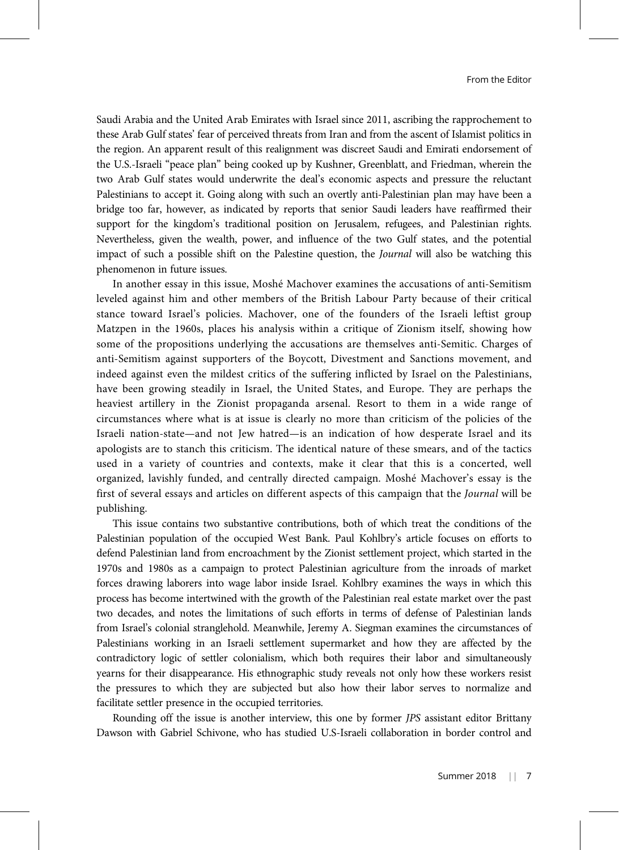Saudi Arabia and the United Arab Emirates with Israel since 2011, ascribing the rapprochement to these Arab Gulf states' fear of perceived threats from Iran and from the ascent of Islamist politics in the region. An apparent result of this realignment was discreet Saudi and Emirati endorsement of the U.S.-Israeli "peace plan" being cooked up by Kushner, Greenblatt, and Friedman, wherein the two Arab Gulf states would underwrite the deal's economic aspects and pressure the reluctant Palestinians to accept it. Going along with such an overtly anti-Palestinian plan may have been a bridge too far, however, as indicated by reports that senior Saudi leaders have reaffirmed their support for the kingdom's traditional position on Jerusalem, refugees, and Palestinian rights. Nevertheless, given the wealth, power, and influence of the two Gulf states, and the potential impact of such a possible shift on the Palestine question, the Journal will also be watching this phenomenon in future issues.

In another essay in this issue, Moshé Machover examines the accusations of anti-Semitism leveled against him and other members of the British Labour Party because of their critical stance toward Israel's policies. Machover, one of the founders of the Israeli leftist group Matzpen in the 1960s, places his analysis within a critique of Zionism itself, showing how some of the propositions underlying the accusations are themselves anti-Semitic. Charges of anti-Semitism against supporters of the Boycott, Divestment and Sanctions movement, and indeed against even the mildest critics of the suffering inflicted by Israel on the Palestinians, have been growing steadily in Israel, the United States, and Europe. They are perhaps the heaviest artillery in the Zionist propaganda arsenal. Resort to them in a wide range of circumstances where what is at issue is clearly no more than criticism of the policies of the Israeli nation-state—and not Jew hatred—is an indication of how desperate Israel and its apologists are to stanch this criticism. The identical nature of these smears, and of the tactics used in a variety of countries and contexts, make it clear that this is a concerted, well organized, lavishly funded, and centrally directed campaign. Moshé Machover's essay is the first of several essays and articles on different aspects of this campaign that the Journal will be publishing.

This issue contains two substantive contributions, both of which treat the conditions of the Palestinian population of the occupied West Bank. Paul Kohlbry's article focuses on efforts to defend Palestinian land from encroachment by the Zionist settlement project, which started in the 1970s and 1980s as a campaign to protect Palestinian agriculture from the inroads of market forces drawing laborers into wage labor inside Israel. Kohlbry examines the ways in which this process has become intertwined with the growth of the Palestinian real estate market over the past two decades, and notes the limitations of such efforts in terms of defense of Palestinian lands from Israel's colonial stranglehold. Meanwhile, Jeremy A. Siegman examines the circumstances of Palestinians working in an Israeli settlement supermarket and how they are affected by the contradictory logic of settler colonialism, which both requires their labor and simultaneously yearns for their disappearance. His ethnographic study reveals not only how these workers resist the pressures to which they are subjected but also how their labor serves to normalize and facilitate settler presence in the occupied territories.

Rounding off the issue is another interview, this one by former JPS assistant editor Brittany Dawson with Gabriel Schivone, who has studied U.S-Israeli collaboration in border control and